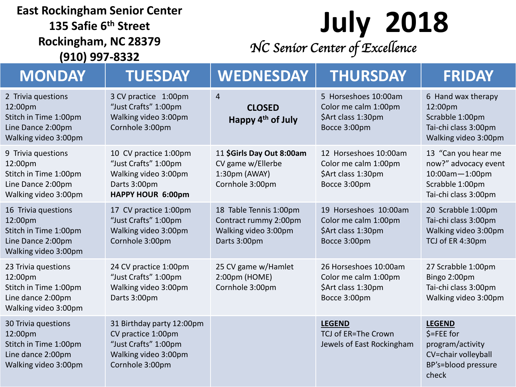#### **East Rockingham Senior Center**

**135 Safie 6th Street Rockingham, NC 28379 (910) 997-8332**

### **July 2018** *NC Senior Center of Excellence*

| <b>MONDAY</b>                                                                                        | <b>TUESDAY</b>                                                                                                     | WEDNESDAY                                                                               | <b>THURSDAY</b>                                                                     | <b>FRIDAY</b>                                                                                                   |
|------------------------------------------------------------------------------------------------------|--------------------------------------------------------------------------------------------------------------------|-----------------------------------------------------------------------------------------|-------------------------------------------------------------------------------------|-----------------------------------------------------------------------------------------------------------------|
| 2 Trivia questions<br>12:00pm<br>Stitch in Time 1:00pm<br>Line Dance 2:00pm<br>Walking video 3:00pm  | 3 CV practice 1:00pm<br>"Just Crafts" 1:00pm<br>Walking video 3:00pm<br>Cornhole 3:00pm                            | $\overline{4}$<br><b>CLOSED</b><br>Happy 4 <sup>th</sup> of July                        | 5 Horseshoes 10:00am<br>Color me calm 1:00pm<br>\$Art class 1:30pm<br>Bocce 3:00pm  | 6 Hand wax therapy<br>12:00pm<br>Scrabble 1:00pm<br>Tai-chi class 3:00pm<br>Walking video 3:00pm                |
| 9 Trivia questions<br>12:00pm<br>Stitch in Time 1:00pm<br>Line Dance 2:00pm<br>Walking video 3:00pm  | 10 CV practice 1:00pm<br>"Just Crafts" 1:00pm<br>Walking video 3:00pm<br>Darts 3:00pm<br>HAPPY HOUR 6:00pm         | 11 \$Girls Day Out 8:00am<br>CV game w/Ellerbe<br>1:30pm (AWAY)<br>Cornhole 3:00pm      | 12 Horseshoes 10:00am<br>Color me calm 1:00pm<br>\$Art class 1:30pm<br>Bocce 3:00pm | 13 "Can you hear me<br>now?" advocacy event<br>$10:00$ am $-1:00$ pm<br>Scrabble 1:00pm<br>Tai-chi class 3:00pm |
| 16 Trivia questions<br>12:00pm<br>Stitch in Time 1:00pm<br>Line Dance 2:00pm<br>Walking video 3:00pm | 17 CV practice 1:00pm<br>"Just Crafts" 1:00pm<br>Walking video 3:00pm<br>Cornhole 3:00pm                           | 18 Table Tennis 1:00pm<br>Contract rummy 2:00pm<br>Walking video 3:00pm<br>Darts 3:00pm | 19 Horseshoes 10:00am<br>Color me calm 1:00pm<br>\$Art class 1:30pm<br>Bocce 3:00pm | 20 Scrabble 1:00pm<br>Tai-chi class 3:00pm<br>Walking video 3:00pm<br>TCJ of ER 4:30pm                          |
| 23 Trivia questions<br>12:00pm<br>Stitch in Time 1:00pm<br>Line dance 2:00pm<br>Walking video 3:00pm | 24 CV practice 1:00pm<br>"Just Crafts" 1:00pm<br>Walking video 3:00pm<br>Darts 3:00pm                              | 25 CV game w/Hamlet<br>2:00pm (HOME)<br>Cornhole 3:00pm                                 | 26 Horseshoes 10:00am<br>Color me calm 1:00pm<br>\$Art class 1:30pm<br>Bocce 3:00pm | 27 Scrabble 1:00pm<br>Bingo 2:00pm<br>Tai-chi class 3:00pm<br>Walking video 3:00pm                              |
| 30 Trivia questions<br>12:00pm<br>Stitch in Time 1:00pm<br>Line dance 2:00pm<br>Walking video 3:00pm | 31 Birthday party 12:00pm<br>CV practice 1:00pm<br>"Just Crafts" 1:00pm<br>Walking video 3:00pm<br>Cornhole 3:00pm |                                                                                         | <b>LEGEND</b><br>TCJ of ER=The Crown<br>Jewels of East Rockingham                   | <b>LEGEND</b><br>$$=$ FEE for<br>program/activity<br>CV=chair volleyball<br>BP's=blood pressure<br>check        |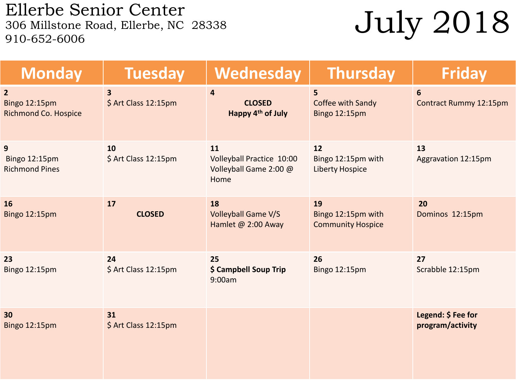Ellerbe Senior Center<br>306 Millstone Road, Ellerbe, NC 28338 910-652-6006

## July 2018

| <b>Monday</b>                                                  | <b>Tuesday</b>                                  | Wednesday                                                         | <b>Thursday</b>                                       | <b>Friday</b>                          |
|----------------------------------------------------------------|-------------------------------------------------|-------------------------------------------------------------------|-------------------------------------------------------|----------------------------------------|
| $\overline{2}$<br>Bingo 12:15pm<br><b>Richmond Co. Hospice</b> | $\overline{\mathbf{3}}$<br>\$ Art Class 12:15pm | $\overline{4}$<br><b>CLOSED</b><br>Happy 4 <sup>th</sup> of July  | $5\overline{)}$<br>Coffee with Sandy<br>Bingo 12:15pm | 6<br>Contract Rummy 12:15pm            |
| 9<br><b>Bingo 12:15pm</b><br><b>Richmond Pines</b>             | 10<br>\$ Art Class 12:15pm                      | 11<br>Volleyball Practice 10:00<br>Volleyball Game 2:00 @<br>Home | 12<br>Bingo 12:15pm with<br><b>Liberty Hospice</b>    | 13<br>Aggravation 12:15pm              |
| 16<br>Bingo 12:15pm                                            | 17<br><b>CLOSED</b>                             | 18<br><b>Volleyball Game V/S</b><br>Hamlet @ 2:00 Away            | 19<br>Bingo 12:15pm with<br><b>Community Hospice</b>  | 20<br>Dominos 12:15pm                  |
| 23<br>Bingo 12:15pm                                            | 24<br>\$ Art Class 12:15pm                      | 25<br>\$ Campbell Soup Trip<br>9:00am                             | 26<br>Bingo 12:15pm                                   | 27<br>Scrabble 12:15pm                 |
| 30<br>Bingo 12:15pm                                            | 31<br>\$ Art Class 12:15pm                      |                                                                   |                                                       | Legend: \$ Fee for<br>program/activity |